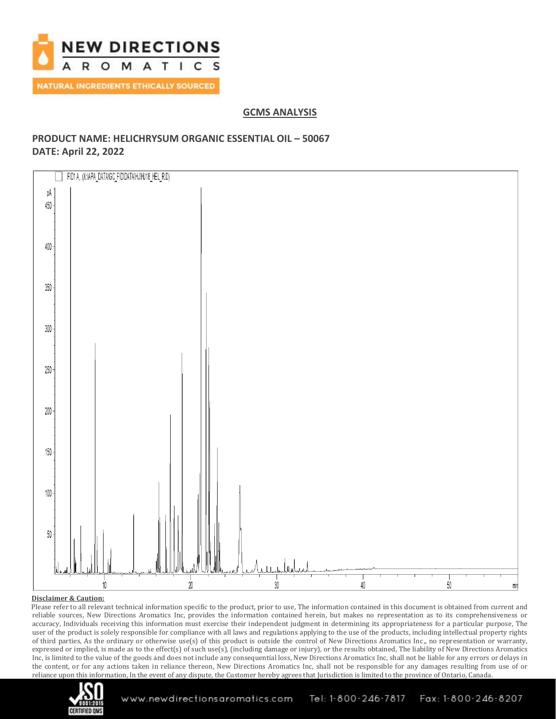

## **GCMS ANALYSIS**

## **PRODUCT NAME: HELICHRYSUM ORGANIC ESSENTIAL OIL – 50067 DATE: April 22, 2022**



### **Disclaimer & Caution:**

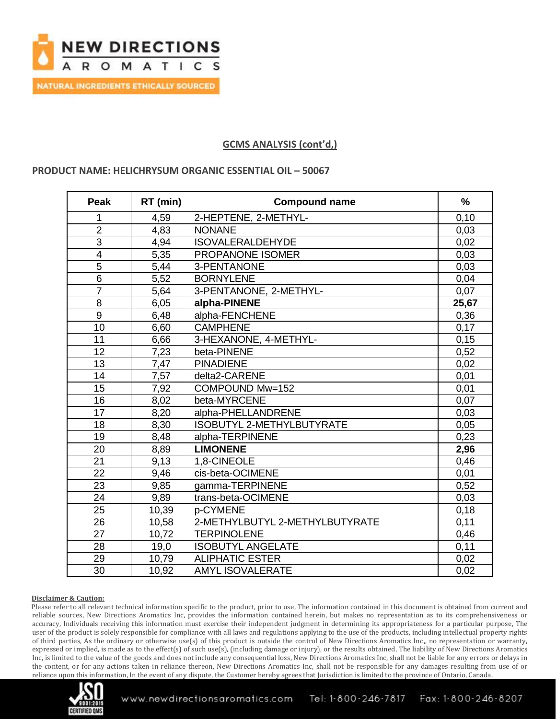

## **GCMS ANALYSIS (cont'd,)**

### **PRODUCT NAME: HELICHRYSUM ORGANIC ESSENTIAL OIL – 50067**

| <b>Peak</b>             | RT (min) | <b>Compound name</b>           | $\frac{0}{0}$ |
|-------------------------|----------|--------------------------------|---------------|
|                         | 4,59     | 2-HEPTENE, 2-METHYL-           | 0,10          |
| $\overline{2}$          | 4,83     | <b>NONANE</b>                  | 0,03          |
| $\overline{3}$          | 4,94     | <b>ISOVALERALDEHYDE</b>        | 0,02          |
| $\overline{\mathbf{4}}$ | 5,35     | PROPANONE ISOMER               | 0,03          |
| $\overline{5}$          | 5,44     | 3-PENTANONE                    | 0,03          |
| 6                       | 5,52     | <b>BORNYLENE</b>               | 0,04          |
| $\overline{7}$          | 5,64     | 3-PENTANONE, 2-METHYL-         | 0,07          |
| 8                       | 6,05     | alpha-PINENE                   | 25,67         |
| 9                       | 6,48     | alpha-FENCHENE                 | 0,36          |
| 10                      | 6,60     | <b>CAMPHENE</b>                | 0,17          |
| 11                      | 6,66     | 3-HEXANONE, 4-METHYL-          | 0,15          |
| 12                      | 7,23     | beta-PINENE                    | 0,52          |
| 13                      | 7,47     | <b>PINADIENE</b>               | 0,02          |
| 14                      | 7,57     | delta2-CARENE                  | 0,01          |
| 15                      | 7,92     | COMPOUND Mw=152                | 0,01          |
| 16                      | 8,02     | beta-MYRCENE                   | 0,07          |
| 17                      | 8,20     | alpha-PHELLANDRENE             | 0,03          |
| 18                      | 8,30     | ISOBUTYL 2-METHYLBUTYRATE      | 0,05          |
| 19                      | 8,48     | alpha-TERPINENE                | 0,23          |
| 20                      | 8,89     | <b>LIMONENE</b>                | 2,96          |
| 21                      | 9.13     | 1,8-CINEOLE                    | 0,46          |
| 22                      | 9,46     | cis-beta-OCIMENE               | 0,01          |
| 23                      | 9,85     | gamma-TERPINENE                | 0,52          |
| 24                      | 9,89     | trans-beta-OCIMENE             | 0,03          |
| 25                      | 10,39    | p-CYMENE                       | 0,18          |
| 26                      | 10,58    | 2-METHYLBUTYL 2-METHYLBUTYRATE | 0,11          |
| 27                      | 10,72    | <b>TERPINOLENE</b>             | 0,46          |
| 28                      | 19,0     | <b>ISOBUTYL ANGELATE</b>       | 0,11          |
| 29                      | 10,79    | <b>ALIPHATIC ESTER</b>         | 0,02          |
| 30                      | 10,92    | <b>AMYL ISOVALERATE</b>        | 0,02          |

#### **Disclaimer & Caution:**

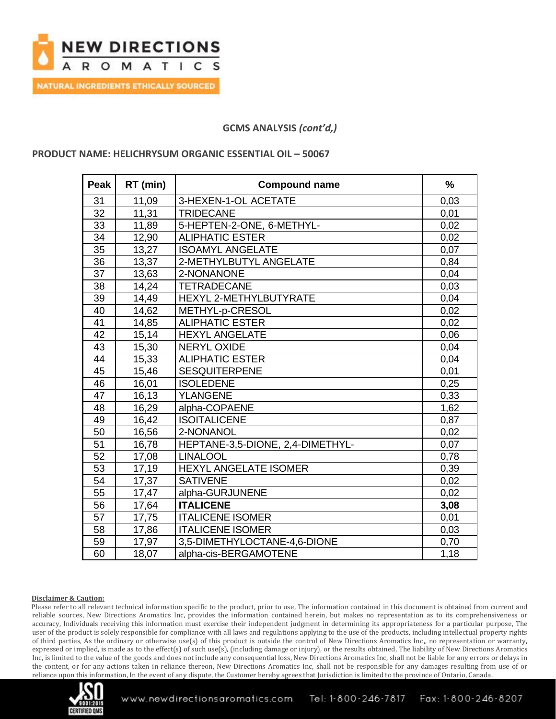

## **GCMS ANALYSIS** *(cont'd,)*

### **PRODUCT NAME: HELICHRYSUM ORGANIC ESSENTIAL OIL – 50067**

| <b>Peak</b> | RT (min) | <b>Compound name</b>             | $\frac{9}{6}$ |
|-------------|----------|----------------------------------|---------------|
| 31          | 11,09    | 3-HEXEN-1-OL ACETATE             | 0,03          |
| 32          | 11,31    | <b>TRIDECANE</b>                 | 0,01          |
| 33          | 11,89    | 5-HEPTEN-2-ONE, 6-METHYL-        | 0,02          |
| 34          | 12,90    | <b>ALIPHATIC ESTER</b>           | 0,02          |
| 35          | 13,27    | <b>ISOAMYL ANGELATE</b>          | 0,07          |
| 36          | 13,37    | 2-METHYLBUTYL ANGELATE           | 0,84          |
| 37          | 13,63    | 2-NONANONE                       | 0,04          |
| 38          | 14,24    | <b>TETRADECANE</b>               | 0,03          |
| 39          | 14,49    | HEXYL 2-METHYLBUTYRATE           | 0,04          |
| 40          | 14,62    | METHYL-p-CRESOL                  | 0,02          |
| 41          | 14,85    | <b>ALIPHATIC ESTER</b>           | 0,02          |
| 42          | 15,14    | <b>HEXYL ANGELATE</b>            | 0,06          |
| 43          | 15,30    | <b>NERYL OXIDE</b>               | 0,04          |
| 44          | 15,33    | <b>ALIPHATIC ESTER</b>           | 0,04          |
| 45          | 15,46    | <b>SESQUITERPENE</b>             | 0,01          |
| 46          | 16,01    | <b>ISOLEDENE</b>                 | 0,25          |
| 47          | 16,13    | <b>YLANGENE</b>                  | 0,33          |
| 48          | 16,29    | alpha-COPAENE                    | 1,62          |
| 49          | 16,42    | <b>ISOITALICENE</b>              | 0,87          |
| 50          | 16,56    | 2-NONANOL                        | 0,02          |
| 51          | 16,78    | HEPTANE-3,5-DIONE, 2,4-DIMETHYL- | 0,07          |
| 52          | 17,08    | <b>LINALOOL</b>                  | 0,78          |
| 53          | 17,19    | <b>HEXYL ANGELATE ISOMER</b>     | 0,39          |
| 54          | 17,37    | <b>SATIVENE</b>                  | 0,02          |
| 55          | 17,47    | alpha-GURJUNENE                  | 0,02          |
| 56          | 17,64    | <b>ITALICENE</b>                 | 3,08          |
| 57          | 17,75    | <b>ITALICENE ISOMER</b>          | 0,01          |
| 58          | 17,86    | <b>ITALICENE ISOMER</b>          | 0,03          |
| 59          | 17,97    | 3,5-DIMETHYLOCTANE-4,6-DIONE     | 0,70          |
| 60          | 18,07    | alpha-cis-BERGAMOTENE            | 1,18          |

#### **Disclaimer & Caution:**

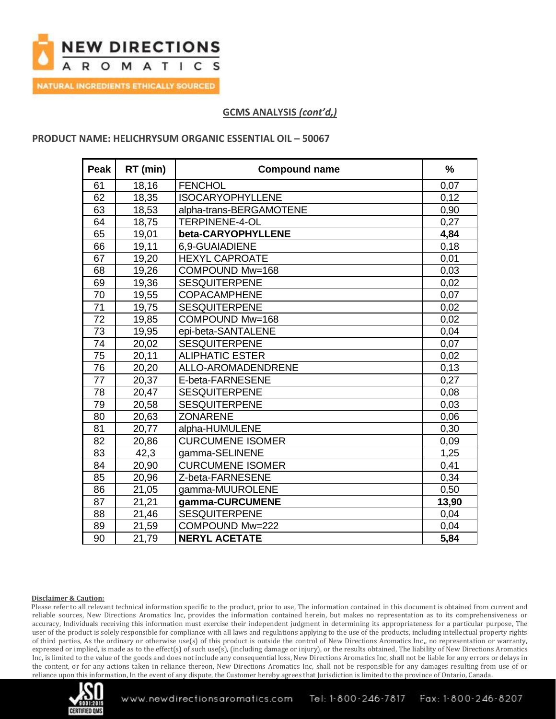

# **GCMS ANALYSIS** *(cont'd,)*

### **PRODUCT NAME: HELICHRYSUM ORGANIC ESSENTIAL OIL – 50067**

| Peak            | RT (min) | <b>Compound name</b>    | $\frac{0}{0}$ |
|-----------------|----------|-------------------------|---------------|
| 61              | 18,16    | <b>FENCHOL</b>          | 0,07          |
| 62              | 18,35    | <b>ISOCARYOPHYLLENE</b> | 0,12          |
| 63              | 18,53    | alpha-trans-BERGAMOTENE | 0,90          |
| 64              | 18,75    | <b>TERPINENE-4-OL</b>   | 0,27          |
| 65              | 19,01    | beta-CARYOPHYLLENE      | 4,84          |
| 66              | 19,11    | 6.9-GUAIADIENE          | 0,18          |
| 67              | 19,20    | <b>HEXYL CAPROATE</b>   | 0,01          |
| 68              | 19,26    | COMPOUND Mw=168         | 0,03          |
| 69              | 19,36    | <b>SESQUITERPENE</b>    | 0,02          |
| 70              | 19,55    | <b>COPACAMPHENE</b>     | 0,07          |
| $\overline{71}$ | 19,75    | <b>SESQUITERPENE</b>    | 0,02          |
| 72              | 19,85    | COMPOUND Mw=168         | 0,02          |
| 73              | 19,95    | epi-beta-SANTALENE      | 0,04          |
| 74              | 20,02    | <b>SESQUITERPENE</b>    | 0,07          |
| 75              | 20,11    | <b>ALIPHATIC ESTER</b>  | 0,02          |
| 76              | 20,20    | ALLO-AROMADENDRENE      | 0,13          |
| 77              | 20,37    | E-beta-FARNESENE        | 0,27          |
| 78              | 20,47    | <b>SESQUITERPENE</b>    | 0,08          |
| 79              | 20,58    | <b>SESQUITERPENE</b>    | 0,03          |
| 80              | 20,63    | <b>ZONARENE</b>         | 0,06          |
| 81              | 20,77    | alpha-HUMULENE          | 0,30          |
| 82              | 20,86    | <b>CURCUMENE ISOMER</b> | 0,09          |
| 83              | 42,3     | gamma-SELINENE          | 1,25          |
| 84              | 20,90    | <b>CURCUMENE ISOMER</b> | 0,41          |
| 85              | 20,96    | Z-beta-FARNESENE        | 0,34          |
| 86              | 21,05    | gamma-MUUROLENE         | 0,50          |
| 87              | 21,21    | gamma-CURCUMENE         | 13,90         |
| 88              | 21,46    | <b>SESQUITERPENE</b>    | 0,04          |
| 89              | 21,59    | COMPOUND Mw=222         | 0,04          |
| 90              | 21,79    | <b>NERYL ACETATE</b>    | 5,84          |

#### **Disclaimer & Caution:**

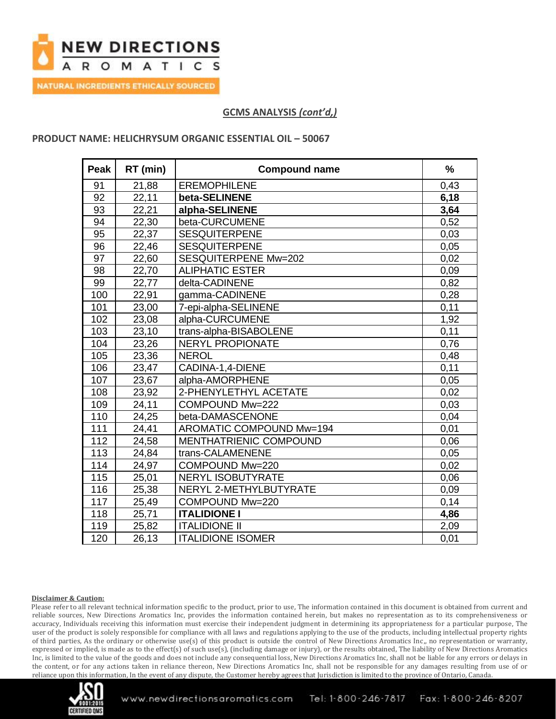

## **GCMS ANALYSIS** *(cont'd,)*

### **PRODUCT NAME: HELICHRYSUM ORGANIC ESSENTIAL OIL – 50067**

| Peak | RT (min) | <b>Compound name</b>          | $\frac{0}{0}$ |
|------|----------|-------------------------------|---------------|
| 91   | 21,88    | <b>EREMOPHILENE</b>           | 0,43          |
| 92   | 22,11    | beta-SELINENE                 | 6,18          |
| 93   | 22,21    | alpha-SELINENE                | 3,64          |
| 94   | 22,30    | beta-CURCUMENE                | 0,52          |
| 95   | 22,37    | <b>SESQUITERPENE</b>          | 0,03          |
| 96   | 22,46    | <b>SESQUITERPENE</b>          | 0,05          |
| 97   | 22,60    | <b>SESQUITERPENE Mw=202</b>   | 0,02          |
| 98   | 22,70    | <b>ALIPHATIC ESTER</b>        | 0,09          |
| 99   | 22,77    | delta-CADINENE                | 0,82          |
| 100  | 22,91    | gamma-CADINENE                | 0,28          |
| 101  | 23,00    | 7-epi-alpha-SELINENE          | 0,11          |
| 102  | 23,08    | alpha-CURCUMENE               | 1,92          |
| 103  | 23,10    | trans-alpha-BISABOLENE        | 0,11          |
| 104  | 23,26    | <b>NERYL PROPIONATE</b>       | 0,76          |
| 105  | 23,36    | <b>NEROL</b>                  | 0,48          |
| 106  | 23,47    | CADINA-1,4-DIENE              | 0,11          |
| 107  | 23,67    | alpha-AMORPHENE               | 0,05          |
| 108  | 23,92    | 2-PHENYLETHYL ACETATE         | 0,02          |
| 109  | 24,11    | COMPOUND Mw=222               | 0,03          |
| 110  | 24,25    | beta-DAMASCENONE              | 0,04          |
| 111  | 24,41    | AROMATIC COMPOUND Mw=194      | 0,01          |
| 112  | 24,58    | <b>MENTHATRIENIC COMPOUND</b> | 0,06          |
| 113  | 24,84    | trans-CALAMENENE              | 0,05          |
| 114  | 24,97    | COMPOUND Mw=220               | 0,02          |
| 115  | 25,01    | <b>NERYL ISOBUTYRATE</b>      | 0,06          |
| 116  | 25,38    | NERYL 2-METHYLBUTYRATE        | 0.09          |
| 117  | 25,49    | COMPOUND Mw=220               | 0,14          |
| 118  | 25,71    | <b>ITALIDIONE I</b>           | 4,86          |
| 119  | 25,82    | <b>ITALIDIONE II</b>          | 2,09          |
| 120  | 26,13    | <b>ITALIDIONE ISOMER</b>      | 0,01          |

#### **Disclaimer & Caution:**

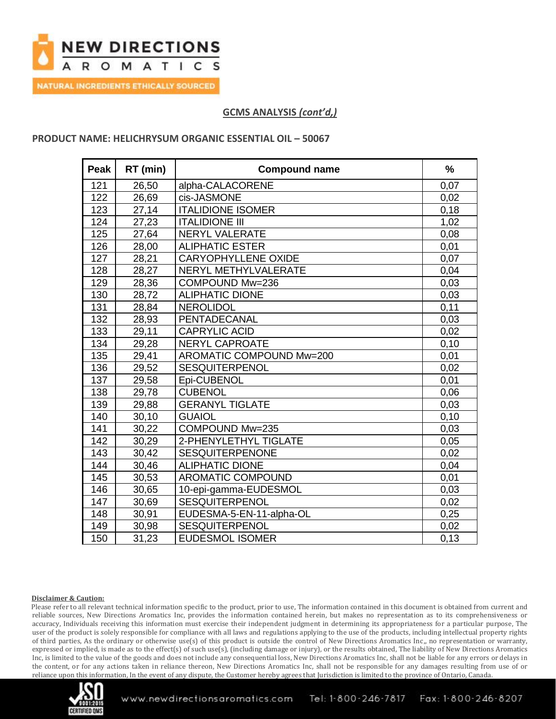

# **GCMS ANALYSIS** *(cont'd,)*

### **PRODUCT NAME: HELICHRYSUM ORGANIC ESSENTIAL OIL – 50067**

| Peak | RT (min) | <b>Compound name</b>            | $\frac{9}{6}$ |
|------|----------|---------------------------------|---------------|
| 121  | 26,50    | alpha-CALACORENE                | 0,07          |
| 122  | 26,69    | cis-JASMONE                     | 0,02          |
| 123  | 27,14    | <b>ITALIDIONE ISOMER</b>        | 0,18          |
| 124  | 27,23    | <b>ITALIDIONE III</b>           | 1,02          |
| 125  | 27,64    | <b>NERYL VALERATE</b>           | 0,08          |
| 126  | 28,00    | <b>ALIPHATIC ESTER</b>          | 0,01          |
| 127  | 28,21    | <b>CARYOPHYLLENE OXIDE</b>      | 0,07          |
| 128  | 28,27    | NERYL METHYLVALERATE            | 0,04          |
| 129  | 28,36    | COMPOUND Mw=236                 | 0,03          |
| 130  | 28,72    | <b>ALIPHATIC DIONE</b>          | 0,03          |
| 131  | 28,84    | <b>NEROLIDOL</b>                | 0,11          |
| 132  | 28,93    | PENTADECANAL                    | 0,03          |
| 133  | 29,11    | <b>CAPRYLIC ACID</b>            | 0,02          |
| 134  | 29,28    | <b>NERYL CAPROATE</b>           | 0,10          |
| 135  | 29,41    | <b>AROMATIC COMPOUND Mw=200</b> | 0,01          |
| 136  | 29,52    | SESQUITERPENOL                  | 0,02          |
| 137  | 29,58    | Epi-CUBENOL                     | 0,01          |
| 138  | 29,78    | <b>CUBENOL</b>                  | 0,06          |
| 139  | 29,88    | <b>GERANYL TIGLATE</b>          | 0,03          |
| 140  | 30,10    | <b>GUAIOL</b>                   | 0,10          |
| 141  | 30,22    | COMPOUND Mw=235                 | 0,03          |
| 142  | 30,29    | 2-PHENYLETHYL TIGLATE           | 0,05          |
| 143  | 30,42    | <b>SESQUITERPENONE</b>          | 0,02          |
| 144  | 30,46    | <b>ALIPHATIC DIONE</b>          | 0,04          |
| 145  | 30,53    | <b>AROMATIC COMPOUND</b>        | 0,01          |
| 146  | 30,65    | 10-epi-gamma-EUDESMOL           | 0,03          |
| 147  | 30,69    | <b>SESQUITERPENOL</b>           | 0,02          |
| 148  | 30,91    | EUDESMA-5-EN-11-alpha-OL        | 0,25          |
| 149  | 30,98    | SESQUITERPENOL                  | 0,02          |
| 150  | 31,23    | <b>EUDESMOL ISOMER</b>          | 0,13          |

#### **Disclaimer & Caution:**